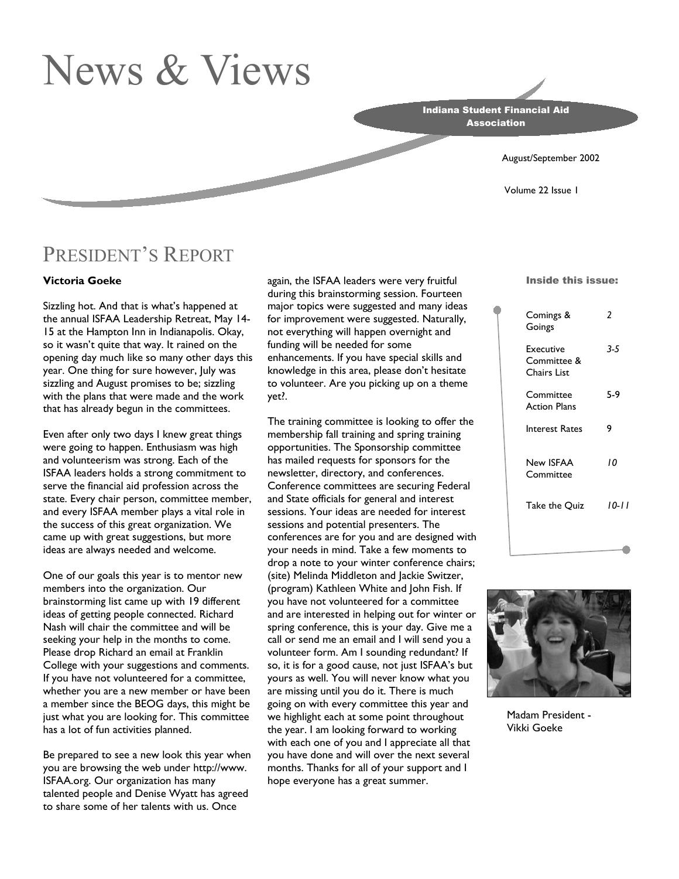# News & Views

Indiana Student Financial Aid **Association** 

August/September 2002

Volume 22 Issue 1

### PRESIDENT'S REPORT

#### **Victoria Goeke**

Sizzling hot. And that is what's happened at the annual ISFAA Leadership Retreat, May 14- 15 at the Hampton Inn in Indianapolis. Okay, so it wasn't quite that way. It rained on the opening day much like so many other days this year. One thing for sure however, July was sizzling and August promises to be; sizzling with the plans that were made and the work that has already begun in the committees.

Even after only two days I knew great things were going to happen. Enthusiasm was high and volunteerism was strong. Each of the ISFAA leaders holds a strong commitment to serve the financial aid profession across the state. Every chair person, committee member, and every ISFAA member plays a vital role in the success of this great organization. We came up with great suggestions, but more ideas are always needed and welcome.

One of our goals this year is to mentor new members into the organization. Our brainstorming list came up with 19 different ideas of getting people connected. Richard Nash will chair the committee and will be seeking your help in the months to come. Please drop Richard an email at Franklin College with your suggestions and comments. If you have not volunteered for a committee, whether you are a new member or have been a member since the BEOG days, this might be just what you are looking for. This committee has a lot of fun activities planned.

Be prepared to see a new look this year when you are browsing the web under http://www. ISFAA.org. Our organization has many talented people and Denise Wyatt has agreed to share some of her talents with us. Once

again, the ISFAA leaders were very fruitful during this brainstorming session. Fourteen major topics were suggested and many ideas for improvement were suggested. Naturally, not everything will happen overnight and funding will be needed for some enhancements. If you have special skills and knowledge in this area, please don't hesitate to volunteer. Are you picking up on a theme yet?.

The training committee is looking to offer the membership fall training and spring training opportunities. The Sponsorship committee has mailed requests for sponsors for the newsletter, directory, and conferences. Conference committees are securing Federal and State officials for general and interest sessions. Your ideas are needed for interest sessions and potential presenters. The conferences are for you and are designed with your needs in mind. Take a few moments to drop a note to your winter conference chairs; (site) Melinda Middleton and Jackie Switzer, (program) Kathleen White and John Fish. If you have not volunteered for a committee and are interested in helping out for winter or spring conference, this is your day. Give me a call or send me an email and I will send you a volunteer form. Am I sounding redundant? If so, it is for a good cause, not just ISFAA's but yours as well. You will never know what you are missing until you do it. There is much going on with every committee this year and we highlight each at some point throughout the year. I am looking forward to working with each one of you and I appreciate all that you have done and will over the next several months. Thanks for all of your support and I hope everyone has a great summer.

#### Inside this issue:

| Comings &<br>Goings                     | 2       |
|-----------------------------------------|---------|
| Executive<br>Committee &<br>Chairs List | $3 - 5$ |
| Committee<br><b>Action Plans</b>        | 5-9     |
| Interest Rates                          | 9       |
| New ISFAA<br>Committee                  | 10      |
| Take the Quiz                           | 10-11   |



Madam President - Vikki Goeke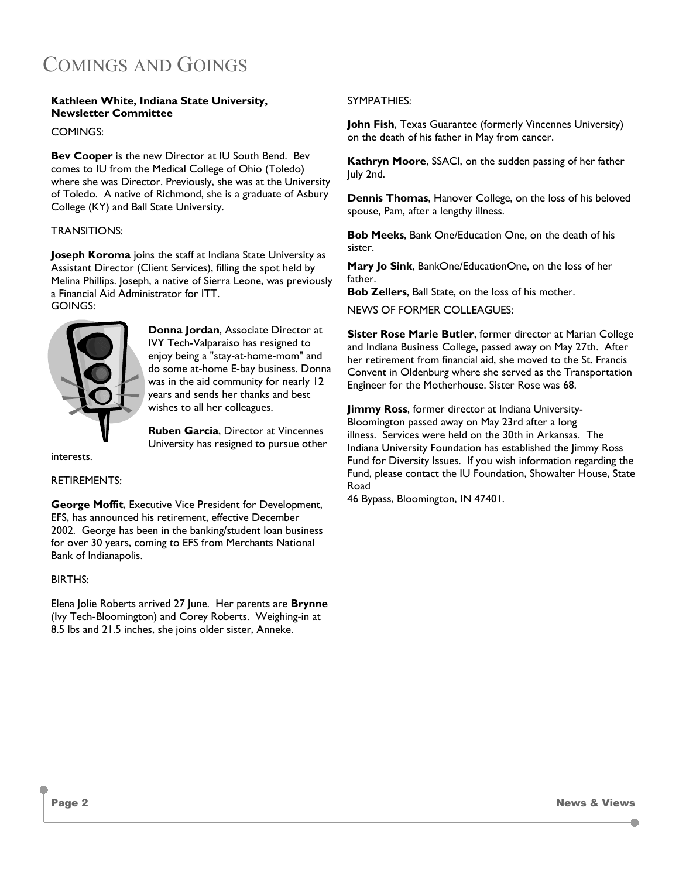### COMINGS AND GOINGS

#### **Kathleen White, Indiana State University, Newsletter Committee**

COMINGS:

**Bev Cooper** is the new Director at IU South Bend. Bev comes to IU from the Medical College of Ohio (Toledo) where she was Director. Previously, she was at the University of Toledo. A native of Richmond, she is a graduate of Asbury College (KY) and Ball State University.

#### TRANSITIONS:

**Joseph Koroma** joins the staff at Indiana State University as Assistant Director (Client Services), filling the spot held by Melina Phillips. Joseph, a native of Sierra Leone, was previously a Financial Aid Administrator for ITT. GOINGS:



**Donna Jordan**, Associate Director at IVY Tech-Valparaiso has resigned to enjoy being a "stay-at-home-mom" and do some at-home E-bay business. Donna was in the aid community for nearly 12 years and sends her thanks and best wishes to all her colleagues.

**Ruben Garcia**, Director at Vincennes University has resigned to pursue other

interests.

#### RETIREMENTS:

**George Moffit**, Executive Vice President for Development, EFS, has announced his retirement, effective December 2002. George has been in the banking/student loan business for over 30 years, coming to EFS from Merchants National Bank of Indianapolis.

#### BIRTHS:

Elena Jolie Roberts arrived 27 June. Her parents are **Brynne** (Ivy Tech-Bloomington) and Corey Roberts. Weighing-in at 8.5 lbs and 21.5 inches, she joins older sister, Anneke.

#### SYMPATHIES:

**John Fish**, Texas Guarantee (formerly Vincennes University) on the death of his father in May from cancer.

**Kathryn Moore**, SSACI, on the sudden passing of her father July 2nd.

**Dennis Thomas**, Hanover College, on the loss of his beloved spouse, Pam, after a lengthy illness.

**Bob Meeks**, Bank One/Education One, on the death of his sister.

**Mary Jo Sink**, BankOne/EducationOne, on the loss of her father.

**Bob Zellers**, Ball State, on the loss of his mother.

NEWS OF FORMER COLLEAGUES:

**Sister Rose Marie Butler**, former director at Marian College and Indiana Business College, passed away on May 27th. After her retirement from financial aid, she moved to the St. Francis Convent in Oldenburg where she served as the Transportation Engineer for the Motherhouse. Sister Rose was 68.

**Jimmy Ross**, former director at Indiana University-Bloomington passed away on May 23rd after a long illness. Services were held on the 30th in Arkansas. The Indiana University Foundation has established the Jimmy Ross Fund for Diversity Issues. If you wish information regarding the Fund, please contact the IU Foundation, Showalter House, State Road

46 Bypass, Bloomington, IN 47401.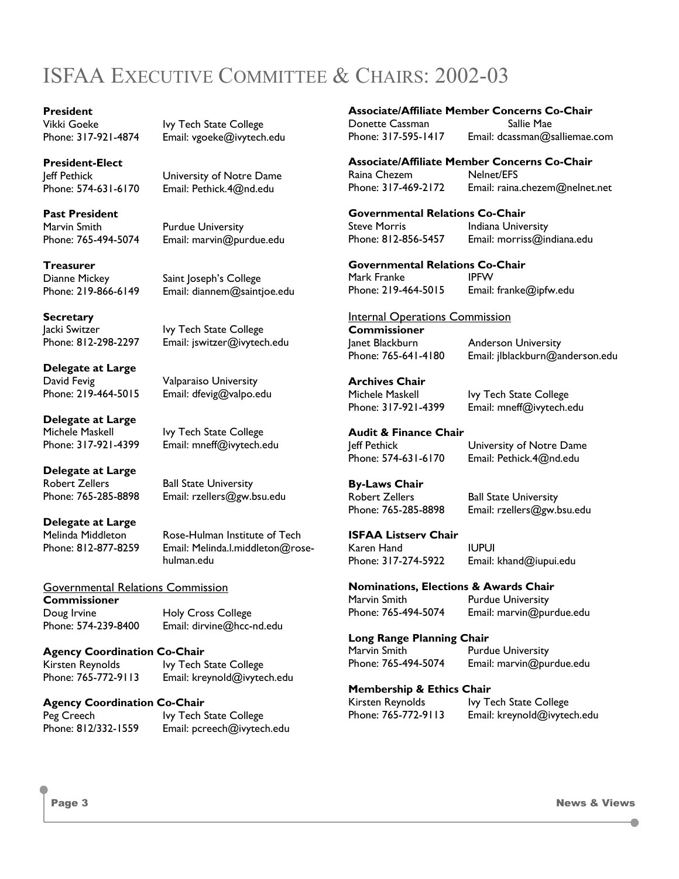## ISFAA EXECUTIVE COMMITTEE & CHAIRS: 2002-03

## **President**

**President-Elect** 

**Past President**  Marvin Smith Purdue University

**Treasurer** 

Vikki Goeke Ivy Tech State College<br>Phone: 317-921-4874 Email: vgoeke@ivvtech Email: vgoeke@ivytech.edu

Jeff Pethick University of Notre Dame Phone: 574-631-6170 Email: Pethick.4@nd.edu

Phone: 765-494-5074 Email: marvin@purdue.edu

Dianne Mickey Saint Joseph's College Phone: 219-866-6149 Email: diannem@saintjoe.edu

**Secretary**  Jacki Switzer Ivy Tech State College Phone: 812-298-2297 Email: jswitzer@ivytech.edu

**Delegate at Large**  David Fevig **Valparaiso University** Phone: 219-464-5015 Email: dfevig@valpo.edu

**Delegate at Large**  Michele Maskell **Ivy Tech State College** Phone: 317-921-4399 Email: mneff@ivytech.edu

**Delegate at Large**  Robert Zellers Ball State University

Phone: 765-285-8898 Email: rzellers@gw.bsu.edu

**Delegate at Large** 

Melinda Middleton Rose-Hulman Institute of Tech Phone: 812-877-8259 Email: Melinda.l.middleton@rosehulman.edu

#### Governmental Relations Commission

**Commissioner**  Doug Irvine Holy Cross College

Phone: 574-239-8400 Email: dirvine@hcc-nd.edu

#### **Agency Coordination Co-Chair**

Kirsten Reynolds Ivy Tech State College Phone: 765-772-9113 Email: kreynold@ivytech.edu

#### **Agency Coordination Co-Chair**

Peg Creech Ivy Tech State College Phone: 812/332-1559 Email: pcreech@ivytech.edu

#### **Associate/Affiliate Member Concerns Co-Chair**

Donette Cassman Sallie Mae

Phone: 317-595-1417 Email: dcassman@salliemae.com

**Associate/Affiliate Member Concerns Co-Chair**  Raina Chezem Nelnet/EFS

Phone: 317-469-2172 Email: raina.chezem@nelnet.net

**Governmental Relations Co-Chair**  Steve Morris **Indiana University** Phone: 812-856-5457 Email: morriss@indiana.edu

#### **Governmental Relations Co-Chair**

Mark Franke IPFW Phone: 219-464-5015 Email: franke@ipfw.edu

#### Internal Operations Commission

**Commissioner**  Janet Blackburn Anderson University Phone: 765-641-4180 Email: jlblackburn@anderson.edu

#### **Archives Chair**

Michele Maskell **Ivy Tech State College** Phone: 317-921-4399 Email: mneff@ivytech.edu

#### **Audit & Finance Chair**

#### Jeff Pethick University of Notre Dame Phone: 574-631-6170 Email: Pethick.4@nd.edu

Email: marvin@purdue.edu

#### **By-Laws Chair**

Robert Zellers Ball State University Phone: 765-285-8898 Email: rzellers@gw.bsu.edu

#### **ISFAA Listserv Chair**

Karen Hand **IUPUI** Phone: 317-274-5922 Email: khand@iupui.edu

#### **Nominations, Elections & Awards Chair**

Marvin Smith Purdue University<br>Phone: 765-494-5074 Email: marvin@pur

**Long Range Planning Chair** 

Marvin Smith Purdue University Phone: 765-494-5074 Email: marvin@purdue.edu

#### **Membership & Ethics Chair**

Kirsten Reynolds Ivy Tech State College Phone: 765-772-9113 Email: kreynold@ivytech.edu

O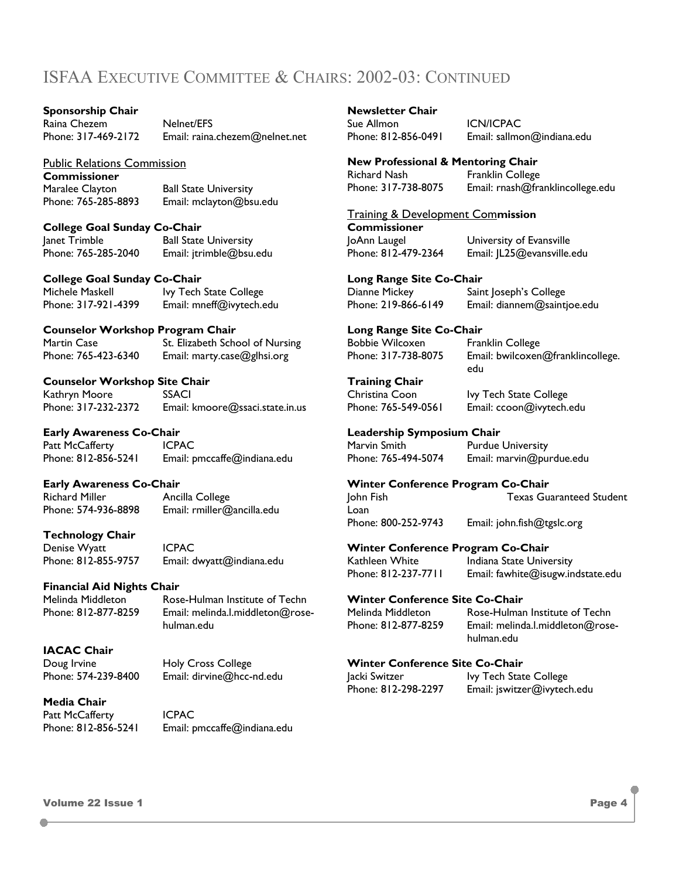### ISFAA EXECUTIVE COMMITTEE & CHAIRS: 2002-03: CONTINUED

#### **Sponsorship Chair**

Raina Chezem Melnet/EFS

Phone: 317-469-2172 Email: raina.chezem@nelnet.net

#### Public Relations Commission

**Commissioner** 

Maralee Clayton Ball State University Phone: 765-285-8893 Email: mclayton@bsu.edu

#### **College Goal Sunday Co-Chair**

Janet Trimble Ball State University Phone: 765-285-2040 Email: jtrimble@bsu.edu

#### **College Goal Sunday Co-Chair**

Michele Maskell **Ivy Tech State College** Phone: 317-921-4399 Email: mneff@ivytech.edu

#### **Counselor Workshop Program Chair**

Martin Case St. Elizabeth School of Nursing Phone: 765-423-6340 Email: marty.case@glhsi.org

#### **Counselor Workshop Site Chair**

Kathryn Moore SSACI Phone: 317-232-2372 Email: kmoore@ssaci.state.in.us

#### **Early Awareness Co-Chair**

Patt McCafferty **ICPAC** Phone: 812-856-5241 Email: pmccaffe@indiana.edu

#### **Early Awareness Co-Chair**

Richard Miller **Ancilla College** 

Phone: 574-936-8898 Email: rmiller@ancilla.edu

#### **Technology Chair**

Denise Wyatt ICPAC Phone: 812-855-9757 Email: dwyatt@indiana.edu

#### **Financial Aid Nights Chair**

Melinda Middleton Rose-Hulman Institute of Techn

Phone: 812-877-8259 Email: melinda.l.middleton@rosehulman.edu

#### **IACAC Chair**

Doug Irvine **Holy Cross College** Phone: 574-239-8400 Email: dirvine@hcc-nd.edu

#### **Media Chair**

Patt McCafferty **ICPAC** 

Phone: 812-856-5241 Email: pmccaffe@indiana.edu

**Newsletter Chair**  Sue Allmon ICN/ICPAC

Phone: 812-856-0491 Email: sallmon@indiana.edu

**New Professional & Mentoring Chair**  Richard Nash Franklin College Phone: 317-738-8075 Email: rnash@franklincollege.edu

Training & Development Com**mission** 

**Commissioner**  JoAnn Laugel University of Evansville Phone: 812-479-2364 Email: JL25@evansville.edu

#### **Long Range Site Co-Chair**

Dianne Mickey Saint Joseph's College Phone: 219-866-6149 Email: diannem@saintjoe.edu

**Long Range Site Co-Chair** 

Bobbie Wilcoxen Franklin College Phone: 317-738-8075 Email: bwilcoxen@franklincollege.

edu

Christina Coon Ivy Tech State College Phone: 765-549-0561 Email: ccoon@ivytech.edu

**Training Chair** 

#### **Leadership Symposium Chair**

Marvin Smith Purdue University<br>Phone: 765-494-5074 Email: marvin@pu Email: marvin@purdue.edu

#### **Winter Conference Program Co-Chair**  John Fish Texas Guaranteed Student

Loan Phone: 800-252-9743 Email: john.fish@tgslc.org

**Winter Conference Program Co-Chair**  Kathleen White Indiana State University Phone: 812-237-7711 Email: fawhite@isugw.indstate.edu

#### **Winter Conference Site Co-Chair**

Melinda Middleton Rose-Hulman Institute of Techn Phone: 812-877-8259 Email: melinda.l.middleton@rosehulman.edu

#### **Winter Conference Site Co-Chair**

Jacki Switzer **Ivy Tech State College** Phone: 812-298-2297 Email: jswitzer@ivytech.edu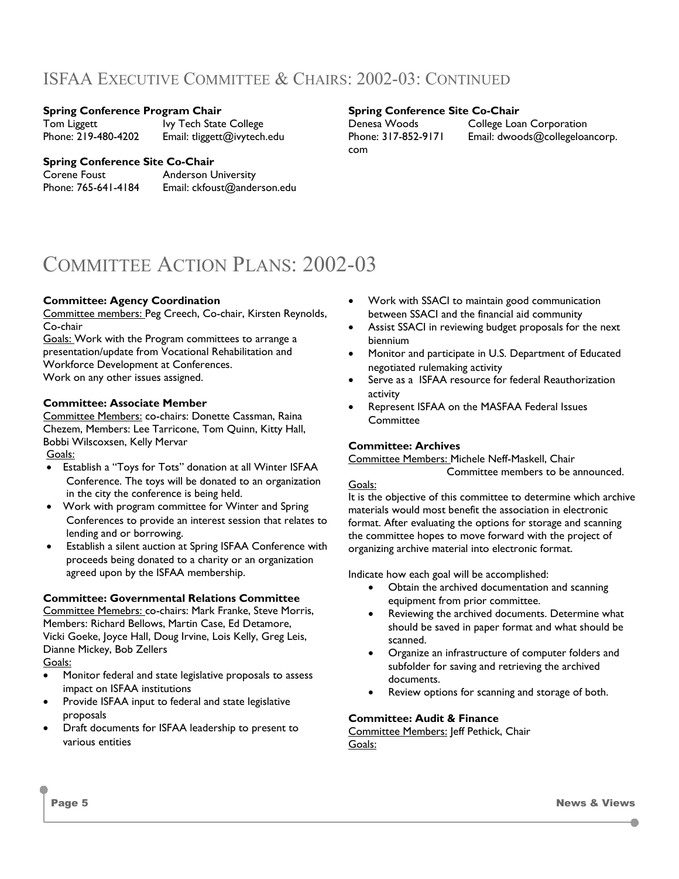### ISFAA EXECUTIVE COMMITTEE & CHAIRS: 2002-03: CONTINUED

#### **Spring Conference Program Chair**

Tom Liggett **IVy Tech State College**<br>Phone: 219-480-4202 Email: tliggett@ivytech Email: tliggett@ivytech.edu

#### **Spring Conference Site Co-Chair**

com

Denesa Woods College Loan Corporation Phone: 317-852-9171 Email: dwoods@collegeloancorp.

#### **Spring Conference Site Co-Chair**

Corene Foust **Anderson University** 

Phone: 765-641-4184 Email: ckfoust@anderson.edu

### COMMITTEE ACTION PLANS: 2002-03

#### **Committee: Agency Coordination**

Committee members: Peg Creech, Co-chair, Kirsten Reynolds, Co-chair

Goals: Work with the Program committees to arrange a presentation/update from Vocational Rehabilitation and Workforce Development at Conferences. Work on any other issues assigned.

#### **Committee: Associate Member**

Committee Members: co-chairs: Donette Cassman, Raina Chezem, Members: Lee Tarricone, Tom Quinn, Kitty Hall, Bobbi Wilscoxsen, Kelly Mervar Goals:

- Establish a "Toys for Tots" donation at all Winter ISFAA Conference. The toys will be donated to an organization in the city the conference is being held.
- Work with program committee for Winter and Spring Conferences to provide an interest session that relates to lending and or borrowing.
- Establish a silent auction at Spring ISFAA Conference with proceeds being donated to a charity or an organization agreed upon by the ISFAA membership.

#### **Committee: Governmental Relations Committee**

Committee Memebrs: co-chairs: Mark Franke, Steve Morris, Members: Richard Bellows, Martin Case, Ed Detamore, Vicki Goeke, Joyce Hall, Doug Irvine, Lois Kelly, Greg Leis, Dianne Mickey, Bob Zellers

Goals:

- Monitor federal and state legislative proposals to assess impact on ISFAA institutions
- Provide ISFAA input to federal and state legislative proposals
- Draft documents for ISFAA leadership to present to various entities
- Work with SSACI to maintain good communication between SSACI and the financial aid community
- Assist SSACI in reviewing budget proposals for the next biennium
- Monitor and participate in U.S. Department of Educated negotiated rulemaking activity
- Serve as a ISFAA resource for federal Reauthorization activity
- Represent ISFAA on the MASFAA Federal Issues Committee

#### **Committee: Archives**

Committee Members: Michele Neff-Maskell, Chair

Committee members to be announced.

#### Goals:

It is the objective of this committee to determine which archive materials would most benefit the association in electronic format. After evaluating the options for storage and scanning the committee hopes to move forward with the project of organizing archive material into electronic format.

Indicate how each goal will be accomplished:

- Obtain the archived documentation and scanning equipment from prior committee.
- Reviewing the archived documents. Determine what should be saved in paper format and what should be scanned.
- Organize an infrastructure of computer folders and subfolder for saving and retrieving the archived documents.
- Review options for scanning and storage of both.

#### **Committee: Audit & Finance**

Committee Members: Jeff Pethick, Chair Goals: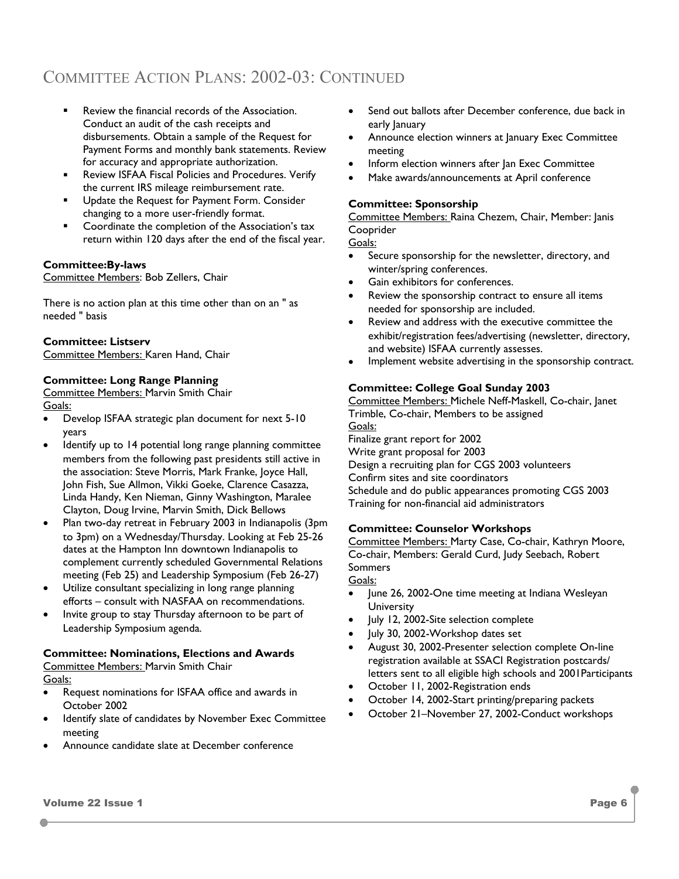- Review the financial records of the Association. Conduct an audit of the cash receipts and disbursements. Obtain a sample of the Request for Payment Forms and monthly bank statements. Review for accuracy and appropriate authorization.
- **Review ISFAA Fiscal Policies and Procedures. Verify** the current IRS mileage reimbursement rate.
- **Update the Request for Payment Form. Consider** changing to a more user-friendly format.
- Coordinate the completion of the Association's tax return within 120 days after the end of the fiscal year.

#### **Committee:By-laws**

Committee Members: Bob Zellers, Chair

There is no action plan at this time other than on an " as needed " basis

#### **Committee: Listserv**

Committee Members: Karen Hand, Chair

#### **Committee: Long Range Planning**

Committee Members: Marvin Smith Chair Goals:

- Develop ISFAA strategic plan document for next 5-10 years
- Identify up to 14 potential long range planning committee members from the following past presidents still active in the association: Steve Morris, Mark Franke, Joyce Hall, John Fish, Sue Allmon, Vikki Goeke, Clarence Casazza, Linda Handy, Ken Nieman, Ginny Washington, Maralee Clayton, Doug Irvine, Marvin Smith, Dick Bellows
- Plan two-day retreat in February 2003 in Indianapolis (3pm to 3pm) on a Wednesday/Thursday. Looking at Feb 25-26 dates at the Hampton Inn downtown Indianapolis to complement currently scheduled Governmental Relations meeting (Feb 25) and Leadership Symposium (Feb 26-27)
- Utilize consultant specializing in long range planning efforts – consult with NASFAA on recommendations.
- Invite group to stay Thursday afternoon to be part of Leadership Symposium agenda.

### **Committee: Nominations, Elections and Awards**

Committee Members: Marvin Smith Chair Goals:

- Request nominations for ISFAA office and awards in October 2002
- Identify slate of candidates by November Exec Committee meeting
- Announce candidate slate at December conference
- Send out ballots after December conference, due back in early January
- Announce election winners at January Exec Committee meeting
- Inform election winners after Jan Exec Committee
- Make awards/announcements at April conference

#### **Committee: Sponsorship**

Committee Members: Raina Chezem, Chair, Member: Janis Cooprider

Goals:

- Secure sponsorship for the newsletter, directory, and winter/spring conferences.
- Gain exhibitors for conferences.
- Review the sponsorship contract to ensure all items needed for sponsorship are included.
- Review and address with the executive committee the exhibit/registration fees/advertising (newsletter, directory, and website) ISFAA currently assesses.
- Implement website advertising in the sponsorship contract.

#### **Committee: College Goal Sunday 2003**

Committee Members: Michele Neff-Maskell, Co-chair, Janet Trimble, Co-chair, Members to be assigned Goals: Finalize grant report for 2002

Write grant proposal for 2003 Design a recruiting plan for CGS 2003 volunteers Confirm sites and site coordinators Schedule and do public appearances promoting CGS 2003 Training for non-financial aid administrators

#### **Committee: Counselor Workshops**

Committee Members: Marty Case, Co-chair, Kathryn Moore, Co-chair, Members: Gerald Curd, Judy Seebach, Robert Sommers Goals:

- June 26, 2002-One time meeting at Indiana Wesleyan **University**
- July 12, 2002-Site selection complete
- July 30, 2002-Workshop dates set
- August 30, 2002-Presenter selection complete On-line registration available at SSACI Registration postcards/ letters sent to all eligible high schools and 2001Participants
- October 11, 2002-Registration ends
- October 14, 2002-Start printing/preparing packets
- October 21–November 27, 2002-Conduct workshops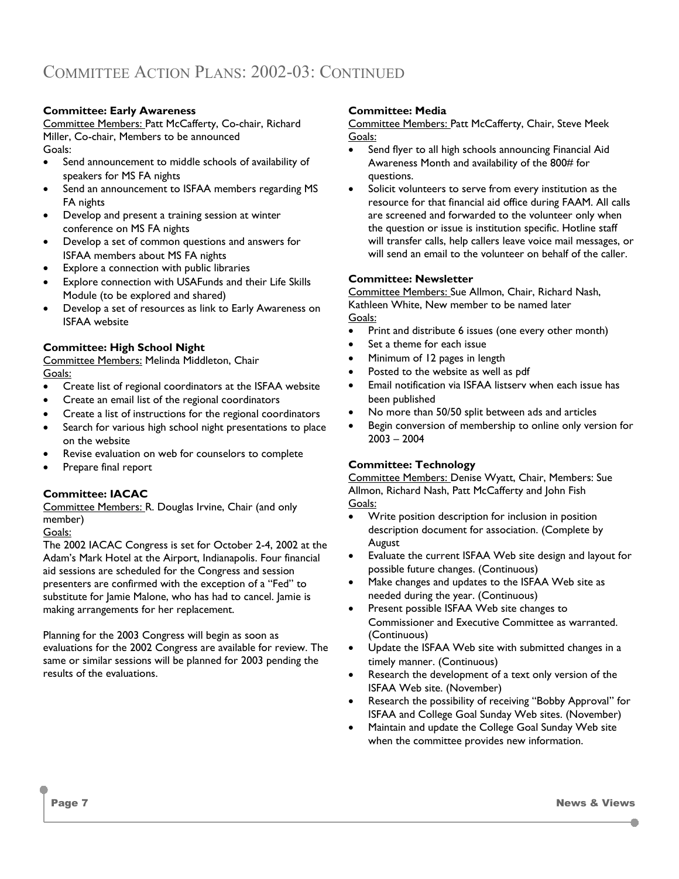#### **Committee: Early Awareness**

Committee Members: Patt McCafferty, Co-chair, Richard Miller, Co-chair, Members to be announced Goals:

- Send announcement to middle schools of availability of speakers for MS FA nights
- Send an announcement to ISFAA members regarding MS FA nights
- Develop and present a training session at winter conference on MS FA nights
- Develop a set of common questions and answers for ISFAA members about MS FA nights
- Explore a connection with public libraries
- Explore connection with USAFunds and their Life Skills Module (to be explored and shared)
- Develop a set of resources as link to Early Awareness on ISFAA website

#### **Committee: High School Night**

Committee Members: Melinda Middleton, Chair Goals:

- Create list of regional coordinators at the ISFAA website
- Create an email list of the regional coordinators
- Create a list of instructions for the regional coordinators
- Search for various high school night presentations to place on the website
- Revise evaluation on web for counselors to complete
- Prepare final report

#### **Committee: IACAC**

Committee Members: R. Douglas Irvine, Chair (and only member)

#### Goals:

The 2002 IACAC Congress is set for October 2-4, 2002 at the Adam's Mark Hotel at the Airport, Indianapolis. Four financial aid sessions are scheduled for the Congress and session presenters are confirmed with the exception of a "Fed" to substitute for Jamie Malone, who has had to cancel. Jamie is making arrangements for her replacement.

Planning for the 2003 Congress will begin as soon as evaluations for the 2002 Congress are available for review. The same or similar sessions will be planned for 2003 pending the results of the evaluations.

#### **Committee: Media**

Committee Members: Patt McCafferty, Chair, Steve Meek Goals:

- Send flyer to all high schools announcing Financial Aid Awareness Month and availability of the 800# for questions.
- Solicit volunteers to serve from every institution as the resource for that financial aid office during FAAM. All calls are screened and forwarded to the volunteer only when the question or issue is institution specific. Hotline staff will transfer calls, help callers leave voice mail messages, or will send an email to the volunteer on behalf of the caller.

#### **Committee: Newsletter**

Committee Members: Sue Allmon, Chair, Richard Nash, Kathleen White, New member to be named later Goals:

- Print and distribute 6 issues (one every other month)
- Set a theme for each issue
- Minimum of 12 pages in length
- Posted to the website as well as pdf
- Email notification via ISFAA listserv when each issue has been published
- No more than 50/50 split between ads and articles
- Begin conversion of membership to online only version for 2003 – 2004

#### **Committee: Technology**

Committee Members: Denise Wyatt, Chair, Members: Sue Allmon, Richard Nash, Patt McCafferty and John Fish Goals:

- Write position description for inclusion in position description document for association. (Complete by August
- Evaluate the current ISFAA Web site design and layout for possible future changes. (Continuous)
- Make changes and updates to the ISFAA Web site as needed during the year. (Continuous)
- Present possible ISFAA Web site changes to Commissioner and Executive Committee as warranted. (Continuous)
- Update the ISFAA Web site with submitted changes in a timely manner. (Continuous)
- Research the development of a text only version of the ISFAA Web site. (November)
- Research the possibility of receiving "Bobby Approval" for ISFAA and College Goal Sunday Web sites. (November)
- Maintain and update the College Goal Sunday Web site when the committee provides new information.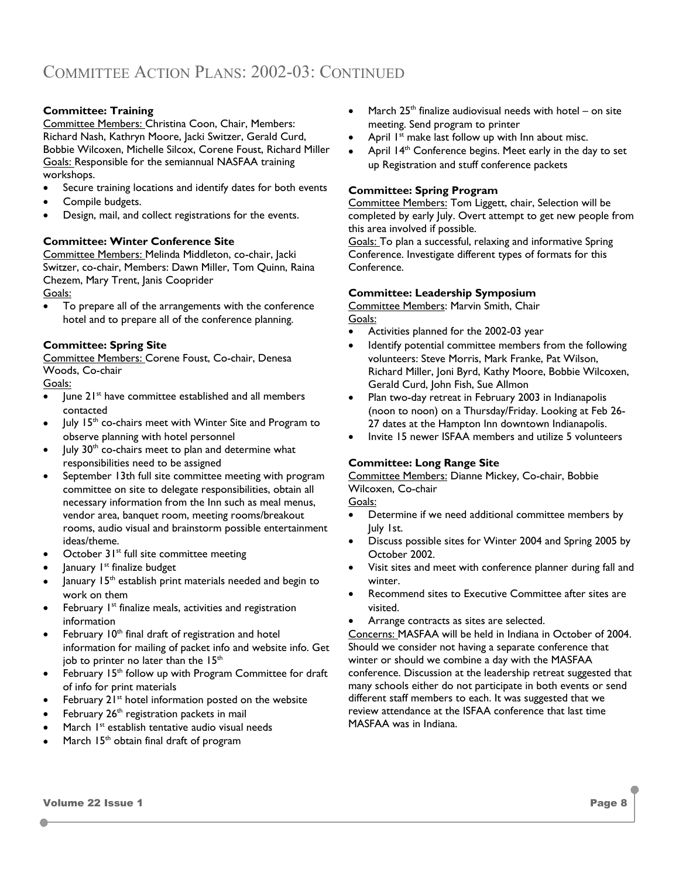#### **Committee: Training**

Committee Members: Christina Coon, Chair, Members: Richard Nash, Kathryn Moore, Jacki Switzer, Gerald Curd, Bobbie Wilcoxen, Michelle Silcox, Corene Foust, Richard Miller Goals: Responsible for the semiannual NASFAA training workshops.

- Secure training locations and identify dates for both events
- Compile budgets.
- Design, mail, and collect registrations for the events.

#### **Committee: Winter Conference Site**

Committee Members: Melinda Middleton, co-chair, Jacki Switzer, co-chair, Members: Dawn Miller, Tom Quinn, Raina Chezem, Mary Trent, Janis Cooprider Goals:

To prepare all of the arrangements with the conference hotel and to prepare all of the conference planning.

#### **Committee: Spring Site**

Committee Members: Corene Foust, Co-chair, Denesa Woods, Co-chair

Goals:

- June 21<sup>st</sup> have committee established and all members contacted
- July 15<sup>th</sup> co-chairs meet with Winter Site and Program to observe planning with hotel personnel
- July 30<sup>th</sup> co-chairs meet to plan and determine what responsibilities need to be assigned
- September 13th full site committee meeting with program committee on site to delegate responsibilities, obtain all necessary information from the Inn such as meal menus, vendor area, banquet room, meeting rooms/breakout rooms, audio visual and brainstorm possible entertainment ideas/theme.
- October  $31^{st}$  full site committee meeting
- January 1<sup>st</sup> finalize budget
- January 15<sup>th</sup> establish print materials needed and begin to work on them
- February  $I<sup>st</sup>$  finalize meals, activities and registration information
- February 10<sup>th</sup> final draft of registration and hotel information for mailing of packet info and website info. Get job to printer no later than the  $15<sup>th</sup>$
- February 15<sup>th</sup> follow up with Program Committee for draft of info for print materials
- February  $21^{st}$  hotel information posted on the website
- February 26<sup>th</sup> registration packets in mail
- March 1<sup>st</sup> establish tentative audio visual needs
- March  $15<sup>th</sup>$  obtain final draft of program
- March  $25<sup>th</sup>$  finalize audiovisual needs with hotel on site meeting. Send program to printer
- April  $I<sup>st</sup>$  make last follow up with Inn about misc.
- April 14<sup>th</sup> Conference begins. Meet early in the day to set up Registration and stuff conference packets

#### **Committee: Spring Program**

Committee Members: Tom Liggett, chair, Selection will be completed by early July. Overt attempt to get new people from this area involved if possible.

Goals: To plan a successful, relaxing and informative Spring Conference. Investigate different types of formats for this Conference.

#### **Committee: Leadership Symposium**

Committee Members: Marvin Smith, Chair Goals:

- Activities planned for the 2002-03 year
- Identify potential committee members from the following volunteers: Steve Morris, Mark Franke, Pat Wilson, Richard Miller, Joni Byrd, Kathy Moore, Bobbie Wilcoxen, Gerald Curd, John Fish, Sue Allmon
- Plan two-day retreat in February 2003 in Indianapolis (noon to noon) on a Thursday/Friday. Looking at Feb 26- 27 dates at the Hampton Inn downtown Indianapolis.
- Invite 15 newer ISFAA members and utilize 5 volunteers

#### **Committee: Long Range Site**

Committee Members: Dianne Mickey, Co-chair, Bobbie Wilcoxen, Co-chair

Goals:

- Determine if we need additional committee members by July 1st.
- Discuss possible sites for Winter 2004 and Spring 2005 by October 2002.
- Visit sites and meet with conference planner during fall and winter.
- Recommend sites to Executive Committee after sites are visited.
- Arrange contracts as sites are selected.

Concerns: MASFAA will be held in Indiana in October of 2004. Should we consider not having a separate conference that winter or should we combine a day with the MASFAA conference. Discussion at the leadership retreat suggested that many schools either do not participate in both events or send different staff members to each. It was suggested that we review attendance at the ISFAA conference that last time MASFAA was in Indiana.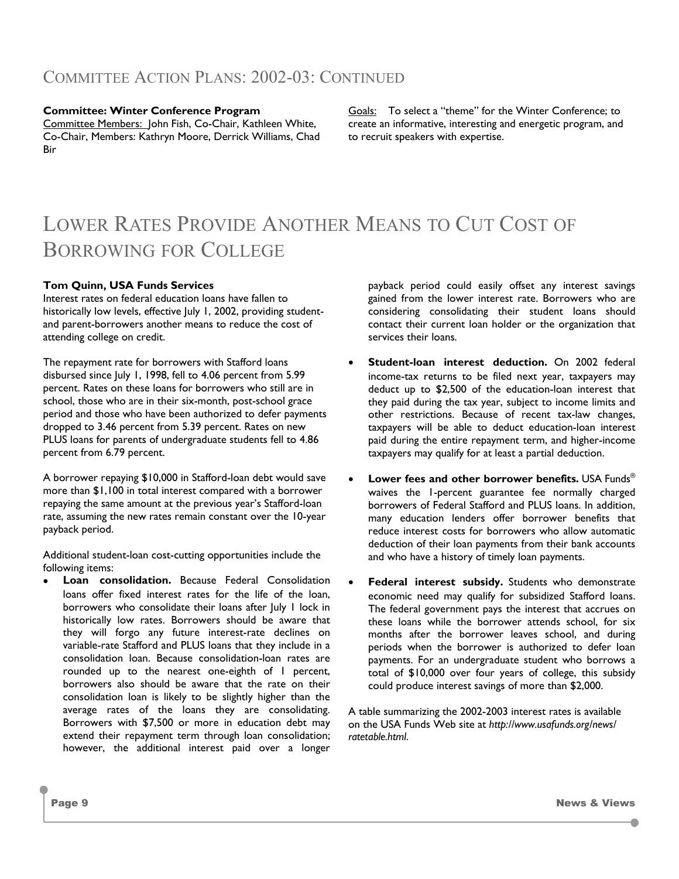#### **Committee: Winter Conference Program**

Committee Members: John Fish, Co-Chair, Kathleen White, Co-Chair, Members: Kathryn Moore, Derrick Williams, Chad Bir

Goals: To select a "theme" for the Winter Conference; to create an informative, interesting and energetic program, and to recruit speakers with expertise.

## LOWER RATES PROVIDE ANOTHER MEANS TO CUT COST OF BORROWING FOR COLLEGE

#### **Tom Quinn, USA Funds Services**

Interest rates on federal education loans have fallen to historically low levels, effective July 1, 2002, providing studentand parent-borrowers another means to reduce the cost of attending college on credit.

The repayment rate for borrowers with Stafford loans disbursed since July 1, 1998, fell to 4.06 percent from 5.99 percent. Rates on these loans for borrowers who still are in school, those who are in their six-month, post-school grace period and those who have been authorized to defer payments dropped to 3.46 percent from 5.39 percent. Rates on new PLUS loans for parents of undergraduate students fell to 4.86 percent from 6.79 percent.

A borrower repaying \$10,000 in Stafford-loan debt would save more than \$1,100 in total interest compared with a borrower repaying the same amount at the previous year's Stafford-loan rate, assuming the new rates remain constant over the 10-year payback period.

Additional student-loan cost-cutting opportunities include the following items:

**Loan consolidation.** Because Federal Consolidation loans offer fixed interest rates for the life of the loan, borrowers who consolidate their loans after July 1 lock in historically low rates. Borrowers should be aware that they will forgo any future interest-rate declines on variable-rate Stafford and PLUS loans that they include in a consolidation loan. Because consolidation-loan rates are rounded up to the nearest one-eighth of 1 percent, borrowers also should be aware that the rate on their consolidation loan is likely to be slightly higher than the average rates of the loans they are consolidating. Borrowers with \$7,500 or more in education debt may extend their repayment term through loan consolidation; however, the additional interest paid over a longer

payback period could easily offset any interest savings gained from the lower interest rate. Borrowers who are considering consolidating their student loans should contact their current loan holder or the organization that services their loans.

- **Student-loan interest deduction.** On 2002 federal income-tax returns to be filed next year, taxpayers may deduct up to \$2,500 of the education-loan interest that they paid during the tax year, subject to income limits and other restrictions. Because of recent tax-law changes, taxpayers will be able to deduct education-loan interest paid during the entire repayment term, and higher-income taxpayers may qualify for at least a partial deduction.
- **Lower fees and other borrower benefits.** USA Funds<sup>®</sup> waives the 1-percent guarantee fee normally charged borrowers of Federal Stafford and PLUS loans. In addition, many education lenders offer borrower benefits that reduce interest costs for borrowers who allow automatic deduction of their loan payments from their bank accounts and who have a history of timely loan payments.
- **Federal interest subsidy.** Students who demonstrate economic need may qualify for subsidized Stafford loans. The federal government pays the interest that accrues on these loans while the borrower attends school, for six months after the borrower leaves school, and during periods when the borrower is authorized to defer loan payments. For an undergraduate student who borrows a total of \$10,000 over four years of college, this subsidy could produce interest savings of more than \$2,000.

A table summarizing the 2002-2003 interest rates is available on the USA Funds Web site at *http://www.usafunds.org/news/ ratetable.html*.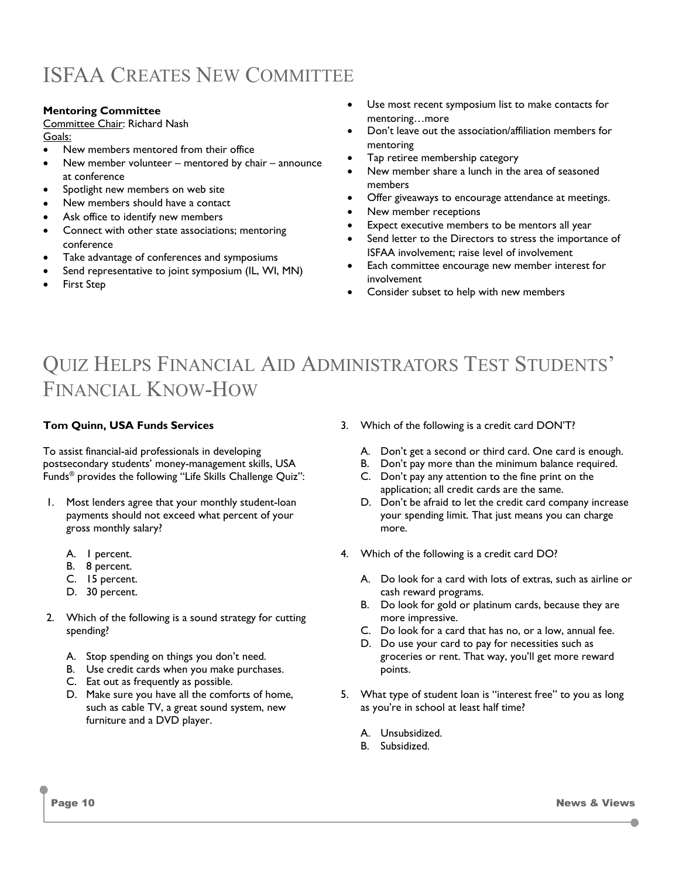### ISFAA CREATES NEW COMMITTEE

#### **Mentoring Committee**

### Committee Chair: Richard Nash

Goals:

- New members mentored from their office
- New member volunteer mentored by chair announce at conference
- Spotlight new members on web site
- New members should have a contact
- Ask office to identify new members
- Connect with other state associations; mentoring conference
- Take advantage of conferences and symposiums
- Send representative to joint symposium (IL, WI, MN)
- First Step
- Use most recent symposium list to make contacts for mentoring…more
- Don't leave out the association/affiliation members for mentoring
- Tap retiree membership category
- New member share a lunch in the area of seasoned members
- Offer giveaways to encourage attendance at meetings.
- New member receptions
- Expect executive members to be mentors all year
- Send letter to the Directors to stress the importance of ISFAA involvement; raise level of involvement
- Each committee encourage new member interest for involvement
- Consider subset to help with new members

### QUIZ HELPS FINANCIAL AID ADMINISTRATORS TEST STUDENTS' FINANCIAL KNOW-HOW

#### **Tom Quinn, USA Funds Services**

To assist financial-aid professionals in developing postsecondary students' money-management skills, USA Funds® provides the following "Life Skills Challenge Quiz":

- 1. Most lenders agree that your monthly student-loan payments should not exceed what percent of your gross monthly salary?
	- A. 1 percent.
	- B. 8 percent.
	- C. 15 percent.
	- D. 30 percent.
- 2. Which of the following is a sound strategy for cutting spending?
	- A. Stop spending on things you don't need.
	- B. Use credit cards when you make purchases.
	- C. Eat out as frequently as possible.
	- D. Make sure you have all the comforts of home, such as cable TV, a great sound system, new furniture and a DVD player.
- 3. Which of the following is a credit card DON'T?
	- A. Don't get a second or third card. One card is enough.
	- B. Don't pay more than the minimum balance required.
	- C. Don't pay any attention to the fine print on the application; all credit cards are the same.
	- D. Don't be afraid to let the credit card company increase your spending limit. That just means you can charge more.
- 4. Which of the following is a credit card DO?
	- A. Do look for a card with lots of extras, such as airline or cash reward programs.
	- B. Do look for gold or platinum cards, because they are more impressive.
	- C. Do look for a card that has no, or a low, annual fee.
	- D. Do use your card to pay for necessities such as groceries or rent. That way, you'll get more reward points.
- 5. What type of student loan is "interest free" to you as long as you're in school at least half time?
	- A. Unsubsidized.
	- B. Subsidized.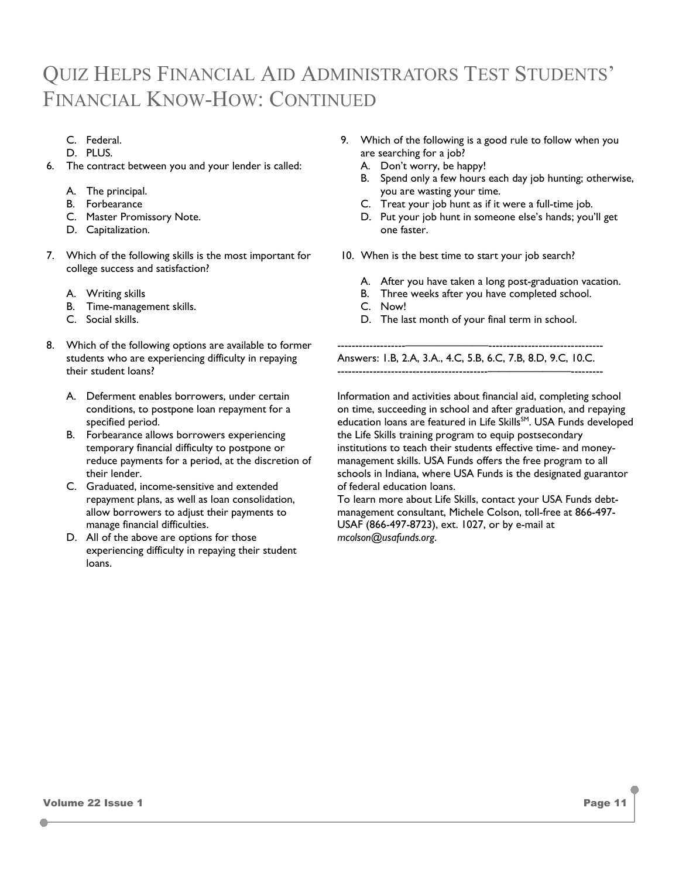### QUIZ HELPS FINANCIAL AID ADMINISTRATORS TEST STUDENTS' FINANCIAL KNOW-HOW: CONTINUED

- C. Federal.
- D. PLUS.
- 6. The contract between you and your lender is called:
	- A. The principal.
	- B. Forbearance
	- C. Master Promissory Note.
	- D. Capitalization.
- 7. Which of the following skills is the most important for college success and satisfaction?
	- A. Writing skills
	- B. Time-management skills.
	- C. Social skills.
- 8. Which of the following options are available to former students who are experiencing difficulty in repaying their student loans?
	- A. Deferment enables borrowers, under certain conditions, to postpone loan repayment for a specified period.
	- B. Forbearance allows borrowers experiencing temporary financial difficulty to postpone or reduce payments for a period, at the discretion of their lender.
	- C. Graduated, income-sensitive and extended repayment plans, as well as loan consolidation, allow borrowers to adjust their payments to manage financial difficulties.
	- D. All of the above are options for those experiencing difficulty in repaying their student loans.
- 9. Which of the following is a good rule to follow when you are searching for a job?
	- A. Don't worry, be happy!
	- B. Spend only a few hours each day job hunting; otherwise, you are wasting your time.
	- C. Treat your job hunt as if it were a full-time job.
	- D. Put your job hunt in someone else's hands; you'll get one faster.
- 10. When is the best time to start your job search?
	- A. After you have taken a long post-graduation vacation.
	- B. Three weeks after you have completed school.
	- C. Now!
	- D. The last month of your final term in school.

-------------------———————–-------------------------------- Answers: 1.B, 2.A, 3.A., 4.C, 5.B, 6.C, 7.B, 8.D, 9.C, 10.C. ------------------------------------------———————–---------

Information and activities about financial aid, completing school on time, succeeding in school and after graduation, and repaying education loans are featured in Life Skills<sup>SM</sup>. USA Funds developed the Life Skills training program to equip postsecondary institutions to teach their students effective time- and moneymanagement skills. USA Funds offers the free program to all schools in Indiana, where USA Funds is the designated guarantor of federal education loans.

To learn more about Life Skills, contact your USA Funds debtmanagement consultant, Michele Colson, toll-free at 866-497- USAF (866-497-8723), ext. 1027, or by e-mail at *mcolson@usafunds.org*.